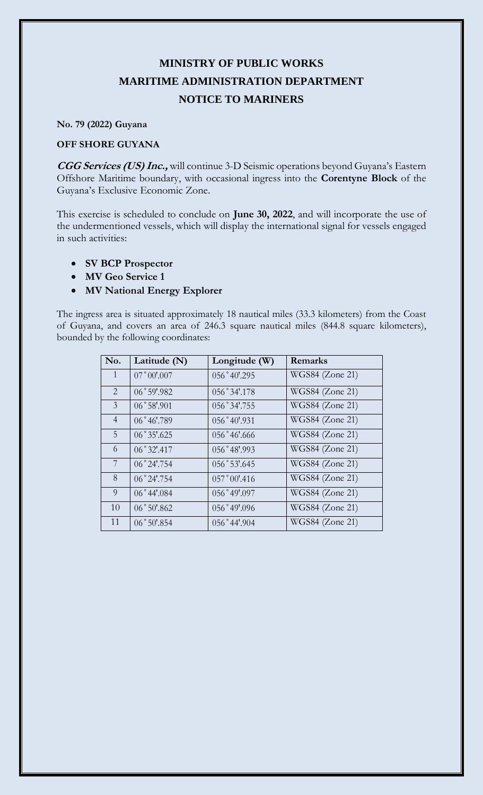## **MINISTRY OF PUBLIC WORKS MARITIME ADMINISTRATION DEPARTMENT NOTICE TO MARINERS**

**No. 79 (2022) Guyana**

## **OFF SHORE GUYANA**

**CGG Services (US) Inc.,** will continue 3-D Seismic operations beyond Guyana's Eastern Offshore Maritime boundary, with occasional ingress into the **Corentyne Block** of the Guyana's Exclusive Economic Zone.

This exercise is scheduled to conclude on **June 30, 2022**, and will incorporate the use of the undermentioned vessels, which will display the international signal for vessels engaged in such activities:

- **SV BCP Prospector**
- **MV Geo Service 1**
- **MV National Energy Explorer**

The ingress area is situated approximately 18 nautical miles (33.3 kilometers) from the Coast of Guyana, and covers an area of 246.3 square nautical miles (844.8 square kilometers), bounded by the following coordinates:

| No.            | Latitude (N)         | Longitude (W)  | <b>Remarks</b>  |
|----------------|----------------------|----------------|-----------------|
| $\mathbf{1}$   | $07°00'$ .007        | 056°40'.295    | WGS84 (Zone 21) |
| 2              | 06°59'.982           | 056°34'.178    | WGS84 (Zone 21) |
| $\mathfrak{Z}$ | $06°58'$ .901        | 056°34'.755    | WGS84 (Zone 21) |
| $\overline{4}$ | 06°46'.789           | 056°40'.931    | WGS84 (Zone 21) |
| 5              | 06°35'0625           | 056°46'0.666   | WGS84 (Zone 21) |
| 6              | $06°32'$ :417        | 056°48'.993    | WGS84 (Zone 21) |
| 7              | 06°24'.754           | 056°53'.645    | WGS84 (Zone 21) |
| 8              | $06^{\circ}24'$ .754 | $057°00'$ .416 | WGS84 (Zone 21) |
| 9              | $06^{\circ}44'084$   | 056°49'097     | WGS84 (Zone 21) |
| 10             | $06°50'$ .862        | 056°49'096     | WGS84 (Zone 21) |
| 11             | 06°50'.854           | 056°44'.904    | WGS84 (Zone 21) |